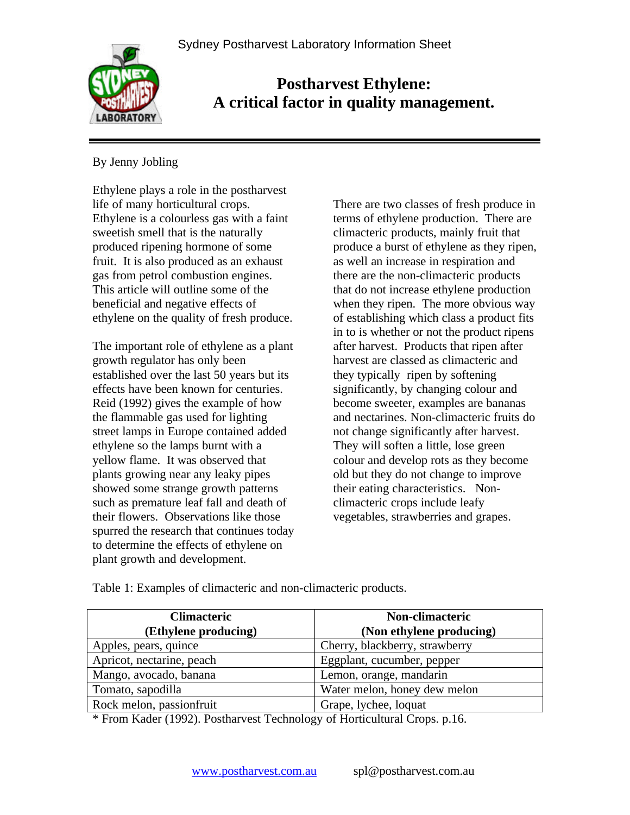

# **Postharvest Ethylene: A critical factor in quality management.**

# By Jenny Jobling

Ethylene plays a role in the postharvest life of many horticultural crops. Ethylene is a colourless gas with a faint sweetish smell that is the naturally produced ripening hormone of some fruit. It is also produced as an exhaust gas from petrol combustion engines. This article will outline some of the beneficial and negative effects of ethylene on the quality of fresh produce.

The important role of ethylene as a plant growth regulator has only been established over the last 50 years but its effects have been known for centuries. Reid (1992) gives the example of how the flammable gas used for lighting street lamps in Europe contained added ethylene so the lamps burnt with a yellow flame. It was observed that plants growing near any leaky pipes showed some strange growth patterns such as premature leaf fall and death of their flowers. Observations like those spurred the research that continues today to determine the effects of ethylene on plant growth and development.

There are two classes of fresh produce in terms of ethylene production. There are climacteric products, mainly fruit that produce a burst of ethylene as they ripen, as well an increase in respiration and there are the non-climacteric products that do not increase ethylene production when they ripen. The more obvious way of establishing which class a product fits in to is whether or not the product ripens after harvest. Products that ripen after harvest are classed as climacteric and they typically ripen by softening significantly, by changing colour and become sweeter, examples are bananas and nectarines. Non-climacteric fruits do not change significantly after harvest. They will soften a little, lose green colour and develop rots as they become old but they do not change to improve their eating characteristics. Nonclimacteric crops include leafy vegetables, strawberries and grapes.

Table 1: Examples of climacteric and non-climacteric products.

| <b>Climacteric</b>        | <b>Non-climacteric</b>         |  |
|---------------------------|--------------------------------|--|
| (Ethylene producing)      | (Non ethylene producing)       |  |
| Apples, pears, quince     | Cherry, blackberry, strawberry |  |
| Apricot, nectarine, peach | Eggplant, cucumber, pepper     |  |
| Mango, avocado, banana    | Lemon, orange, mandarin        |  |
| Tomato, sapodilla         | Water melon, honey dew melon   |  |
| Rock melon, passionfruit  | Grape, lychee, loquat          |  |

\* From Kader (1992). Postharvest Technology of Horticultural Crops. p.16.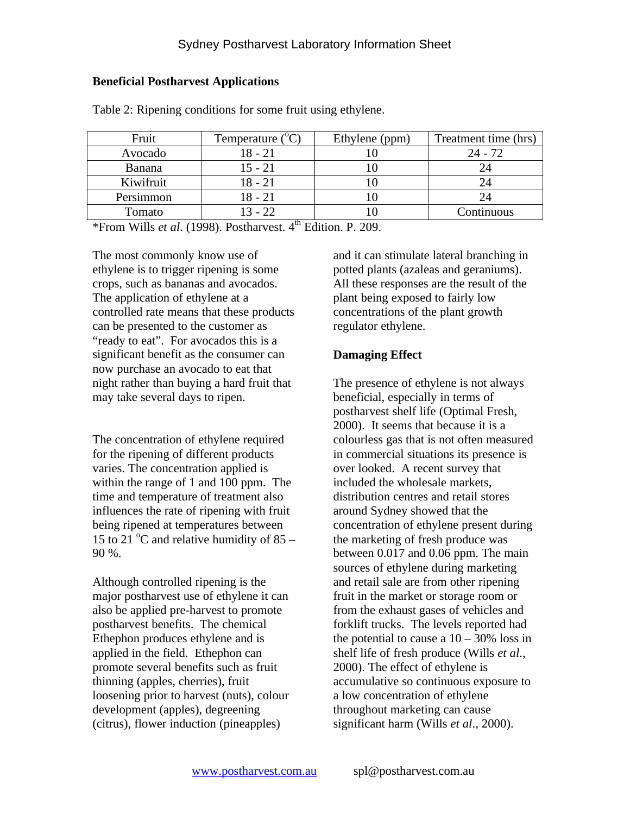#### **Beneficial Postharvest Applications**

| Fruit         | Temperature $(^{\circ}C)$ | Ethylene (ppm) | Treatment time (hrs) |
|---------------|---------------------------|----------------|----------------------|
| Avocado       | 18 - 21                   |                | 24 - 72              |
| <b>Banana</b> | 15 - 21                   |                |                      |
| Kiwifruit     | 18 - 21                   |                |                      |
| Persimmon     | 18 - 21                   |                |                      |
| Tomato        | $3 - 22$                  |                | Continuous           |

Table 2: Ripening conditions for some fruit using ethylene.

\*From Wills *et al*. (1998). Postharvest. 4 th Edition. P. 209.

The most commonly know use of ethylene is to trigger ripening is some crops, such as bananas and avocados. The application of ethylene at a controlled rate means that these products can be presented to the customer as "ready to eat". For avocados this is a significant benefit as the consumer can now purchase an avocado to eat that night rather than buying a hard fruit that may take several days to ripen.

The concentration of ethylene required for the ripening of different products varies. The concentration applied is within the range of 1 and 100 ppm. The time and temperature of treatment also influences the rate of ripening with fruit being ripened at temperatures between 15 to 21  $^{\circ}$ C and relative humidity of 85 – 90 %.

Although controlled ripening is the major postharvest use of ethylene it can also be applied pre-harvest to promote postharvest benefits. The chemical Ethephon produces ethylene and is applied in the field. Ethephon can promote several benefits such as fruit thinning (apples, cherries), fruit loosening prior to harvest (nuts), colour development (apples), degreening (citrus), flower induction (pineapples)

and it can stimulate lateral branching in potted plants (azaleas and geraniums). All these responses are the result of the plant being exposed to fairly low concentrations of the plant growth regulator ethylene.

## **Damaging Effect**

The presence of ethylene is not always beneficial, especially in terms of postharvest shelf life (Optimal Fresh, 2000). It seems that because it is a colourless gas that is not often measured in commercial situations its presence is over looked. A recent survey that included the wholesale markets, distribution centres and retail stores around Sydney showed that the concentration of ethylene present during the marketing of fresh produce was between 0.017 and 0.06 ppm. The main sources of ethylene during marketing and retail sale are from other ripening fruit in the market or storage room or from the exhaust gases of vehicles and forklift trucks. The levels reported had the potential to cause a  $10 - 30\%$  loss in shelf life of fresh produce (Wills *et al*., 2000). The effect of ethylene is accumulative so continuous exposure to a low concentration of ethylene throughout marketing can cause significant harm (Wills *et al*., 2000).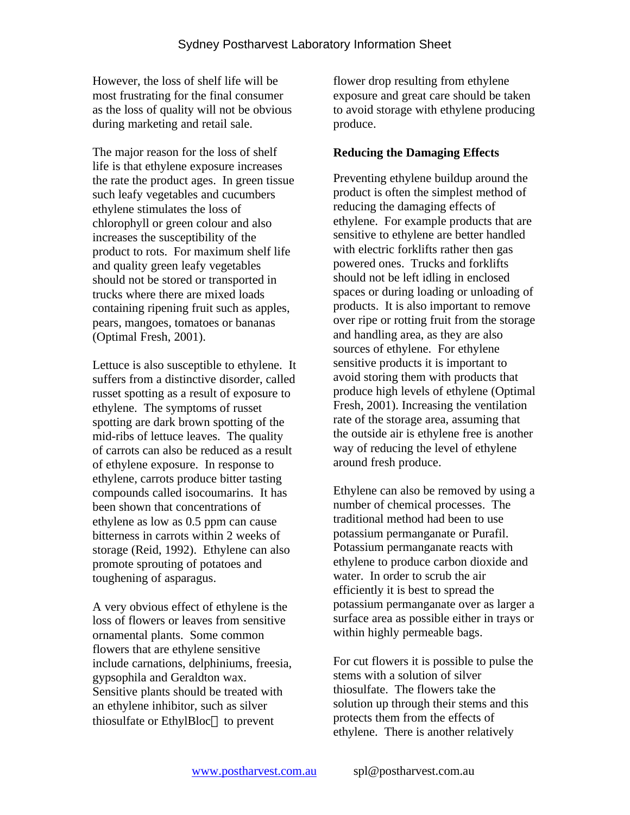However, the loss of shelf life will be most frustrating for the final consumer as the loss of quality will not be obvious during marketing and retail sale.

The major reason for the loss of shelf life is that ethylene exposure increases the rate the product ages. In green tissue such leafy vegetables and cucumbers ethylene stimulates the loss of chlorophyll or green colour and also increases the susceptibility of the product to rots. For maximum shelf life and quality green leafy vegetables should not be stored or transported in trucks where there are mixed loads containing ripening fruit such as apples, pears, mangoes, tomatoes or bananas (Optimal Fresh, 2001).

Lettuce is also susceptible to ethylene. It suffers from a distinctive disorder, called russet spotting as a result of exposure to ethylene. The symptoms of russet spotting are dark brown spotting of the mid-ribs of lettuce leaves. The quality of carrots can also be reduced as a result of ethylene exposure. In response to ethylene, carrots produce bitter tasting compounds called isocoumarins. It has been shown that concentrations of ethylene as low as 0.5 ppm can cause bitterness in carrots within 2 weeks of storage (Reid, 1992). Ethylene can also promote sprouting of potatoes and toughening of asparagus.

A very obvious effect of ethylene is the loss of flowers or leaves from sensitive ornamental plants. Some common flowers that are ethylene sensitive include carnations, delphiniums, freesia, gypsophila and Geraldton wax. Sensitive plants should be treated with an ethylene inhibitor, such as silver thiosulfate or EthylBloc<sup>®</sup> to prevent

flower drop resulting from ethylene exposure and great care should be taken to avoid storage with ethylene producing produce.

### **Reducing the Damaging Effects**

Preventing ethylene buildup around the product is often the simplest method of reducing the damaging effects of ethylene. For example products that are sensitive to ethylene are better handled with electric forklifts rather then gas powered ones. Trucks and forklifts should not be left idling in enclosed spaces or during loading or unloading of products. It is also important to remove over ripe or rotting fruit from the storage and handling area, as they are also sources of ethylene. For ethylene sensitive products it is important to avoid storing them with products that produce high levels of ethylene (Optimal Fresh, 2001). Increasing the ventilation rate of the storage area, assuming that the outside air is ethylene free is another way of reducing the level of ethylene around fresh produce.

Ethylene can also be removed by using a number of chemical processes. The traditional method had been to use potassium permanganate or Purafil. Potassium permanganate reacts with ethylene to produce carbon dioxide and water. In order to scrub the air efficiently it is best to spread the potassium permanganate over as larger a surface area as possible either in trays or within highly permeable bags.

For cut flowers it is possible to pulse the stems with a solution of silver thiosulfate. The flowers take the solution up through their stems and this protects them from the effects of ethylene. There is another relatively